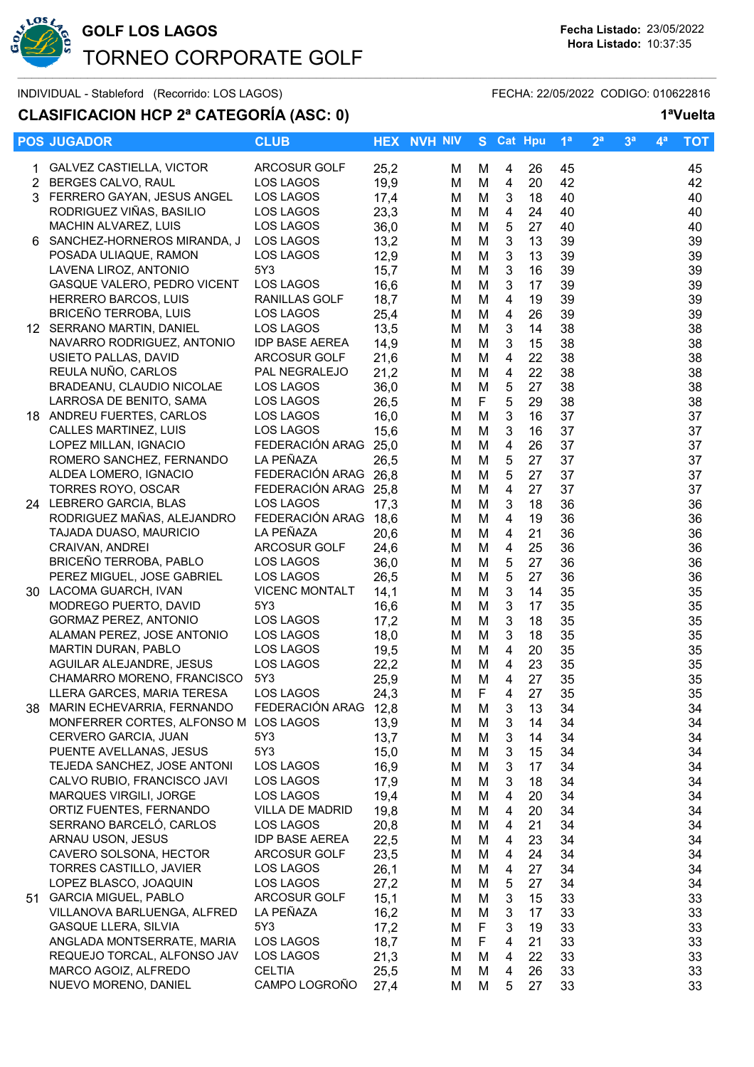

## **CLASIFICACION HCP 2ª CATEGORÍA (ASC: 0) 1ªVuelta**

|    | <b>POS JUGADOR</b>                    | <b>CLUB</b>           |      | <b>HEX NVH NIV</b> |             | S Cat Hpu      |    | 1 <sup>a</sup> | 2 <sup>a</sup> | 3 <sup>a</sup> | $4^a$ | <b>TOT</b> |
|----|---------------------------------------|-----------------------|------|--------------------|-------------|----------------|----|----------------|----------------|----------------|-------|------------|
|    | 1 GALVEZ CASTIELLA, VICTOR            | <b>ARCOSUR GOLF</b>   | 25,2 | м                  | М           | 4              | 26 | 45             |                |                |       | 45         |
|    | 2 BERGES CALVO, RAUL                  | LOS LAGOS             | 19,9 | M                  | M           | 4              | 20 | 42             |                |                |       | 42         |
|    | 3 FERRERO GAYAN, JESUS ANGEL          | LOS LAGOS             | 17,4 | M                  | M           | 3              | 18 | 40             |                |                |       | 40         |
|    | RODRIGUEZ VIÑAS, BASILIO              | LOS LAGOS             | 23,3 | M                  | M           | $\overline{4}$ | 24 | 40             |                |                |       | 40         |
|    | MACHIN ALVAREZ, LUIS                  | LOS LAGOS             | 36,0 | M                  | M           | 5              | 27 | 40             |                |                |       | 40         |
|    | 6 SANCHEZ-HORNEROS MIRANDA, J         | LOS LAGOS             | 13,2 | M                  | M           | $\mathfrak{S}$ | 13 | 39             |                |                |       | 39         |
|    | POSADA ULIAQUE, RAMON                 | LOS LAGOS             | 12,9 | M                  | M           | $\mathfrak{S}$ | 13 | 39             |                |                |       | 39         |
|    | LAVENA LIROZ, ANTONIO                 | 5Y3                   | 15,7 | M                  | M           | $\mathfrak{S}$ | 16 | 39             |                |                |       | 39         |
|    | GASQUE VALERO, PEDRO VICENT           | LOS LAGOS             | 16,6 | M                  | M           | $\mathbf{3}$   | 17 | 39             |                |                |       | 39         |
|    | HERRERO BARCOS, LUIS                  | RANILLAS GOLF         | 18,7 | M                  | M           | 4              | 19 | 39             |                |                |       | 39         |
|    | <b>BRICEÑO TERROBA, LUIS</b>          | LOS LAGOS             | 25,4 | M                  | M           | 4              | 26 | 39             |                |                |       | 39         |
|    | 12 SERRANO MARTIN, DANIEL             | LOS LAGOS             | 13,5 | M                  | M           | 3              | 14 | 38             |                |                |       | 38         |
|    | NAVARRO RODRIGUEZ, ANTONIO            | <b>IDP BASE AEREA</b> | 14,9 | M                  | M           | 3              | 15 | 38             |                |                |       | 38         |
|    | USIETO PALLAS, DAVID                  | ARCOSUR GOLF          | 21,6 | M                  | M           | 4              | 22 | 38             |                |                |       | 38         |
|    | REULA NUÑO, CARLOS                    | PAL NEGRALEJO         | 21,2 | M                  | M           | 4              | 22 | 38             |                |                |       | 38         |
|    | BRADEANU, CLAUDIO NICOLAE             | LOS LAGOS             | 36,0 | M                  | M           | 5              | 27 | 38             |                |                |       | 38         |
|    | LARROSA DE BENITO, SAMA               | LOS LAGOS             | 26,5 | M                  | F           | 5              | 29 | 38             |                |                |       | 38         |
|    | 18 ANDREU FUERTES, CARLOS             | LOS LAGOS             | 16,0 | M                  | M           | $\mathbf 3$    | 16 | 37             |                |                |       | 37         |
|    | CALLES MARTINEZ, LUIS                 | LOS LAGOS             | 15,6 | M                  | M           | $\mathbf{3}$   | 16 | 37             |                |                |       | 37         |
|    | LOPEZ MILLAN, IGNACIO                 | FEDERACIÓN ARAG 25,0  |      | M                  | M           | $\overline{4}$ | 26 | 37             |                |                |       | 37         |
|    | ROMERO SANCHEZ, FERNANDO              | LA PEÑAZA             | 26,5 | M                  | M           | 5              | 27 | 37             |                |                |       | 37         |
|    | ALDEA LOMERO, IGNACIO                 | FEDERACIÓN ARAG 26,8  |      | M                  | M           | 5              | 27 | 37             |                |                |       | 37         |
|    | TORRES ROYO, OSCAR                    | FEDERACIÓN ARAG 25,8  |      | M                  | M           | 4              | 27 | 37             |                |                |       | 37         |
|    | 24 LEBRERO GARCIA, BLAS               | LOS LAGOS             | 17,3 | M                  | M           | 3              | 18 | 36             |                |                |       | 36         |
|    | RODRIGUEZ MAÑAS, ALEJANDRO            | FEDERACIÓN ARAG       | 18,6 | M                  | M           | 4              | 19 | 36             |                |                |       | 36         |
|    | TAJADA DUASO, MAURICIO                | LA PEÑAZA             | 20,6 | M                  | M           | 4              | 21 | 36             |                |                |       | 36         |
|    | CRAIVAN, ANDREI                       | ARCOSUR GOLF          | 24,6 | M                  | M           | 4              | 25 | 36             |                |                |       | 36         |
|    | BRICEÑO TERROBA, PABLO                | LOS LAGOS             | 36,0 | M                  | M           | 5              | 27 | 36             |                |                |       | 36         |
|    | PEREZ MIGUEL, JOSE GABRIEL            | LOS LAGOS             | 26,5 | M                  | M           | $\mathbf 5$    | 27 | 36             |                |                |       | 36         |
|    | 30 LACOMA GUARCH, IVAN                | <b>VICENC MONTALT</b> | 14,1 | M                  | M           | $\mathfrak{S}$ | 14 | 35             |                |                |       | 35         |
|    | MODREGO PUERTO, DAVID                 | 5Y3                   | 16,6 | M                  | M           | $\sqrt{3}$     | 17 | 35             |                |                |       | 35         |
|    | GORMAZ PEREZ, ANTONIO                 | LOS LAGOS             | 17,2 | M                  | M           | $\mathfrak{S}$ | 18 | 35             |                |                |       | 35         |
|    | ALAMAN PEREZ, JOSE ANTONIO            | LOS LAGOS             | 18,0 | M                  | M           | 3              | 18 | 35             |                |                |       | 35         |
|    | MARTIN DURAN, PABLO                   | LOS LAGOS             | 19,5 | M                  | M           | 4              | 20 | 35             |                |                |       | 35         |
|    | AGUILAR ALEJANDRE, JESUS              | LOS LAGOS             | 22,2 | M                  | M           | 4              | 23 | 35             |                |                |       | 35         |
|    | CHAMARRO MORENO, FRANCISCO            | 5Y3                   | 25,9 | M                  | M           | 4              | 27 | 35             |                |                |       | 35         |
|    | LLERA GARCES, MARIA TERESA            | <b>LOS LAGOS</b>      | 24,3 | М                  | F           | 4              | 27 | 35             |                |                |       | 35         |
| 38 | MARIN ECHEVARRIA, FERNANDO            | FEDERACIÓN ARAG 12,8  |      | M                  | M           | 3              | 13 | 34             |                |                |       | 34         |
|    | MONFERRER CORTES, ALFONSO M LOS LAGOS |                       | 13,9 | M                  | M           | 3              | 14 | 34             |                |                |       | 34         |
|    | CERVERO GARCIA, JUAN                  | 5Y3                   | 13,7 | M                  | M           | 3              | 14 | 34             |                |                |       | 34         |
|    | PUENTE AVELLANAS, JESUS               | 5Y3                   | 15,0 | м                  | M           | 3              | 15 | 34             |                |                |       | 34         |
|    | TEJEDA SANCHEZ, JOSE ANTONI           | LOS LAGOS             | 16,9 | м                  | M           | 3              | 17 | 34             |                |                |       | 34         |
|    | CALVO RUBIO, FRANCISCO JAVI           | LOS LAGOS             | 17,9 | м                  | M           | 3              | 18 | 34             |                |                |       | 34         |
|    | MARQUES VIRGILI, JORGE                | LOS LAGOS             | 19,4 | м                  | M           | 4              | 20 | 34             |                |                |       | 34         |
|    | ORTIZ FUENTES, FERNANDO               | VILLA DE MADRID       | 19,8 | M                  | M           | 4              | 20 | 34             |                |                |       | 34         |
|    | SERRANO BARCELÓ, CARLOS               | LOS LAGOS             | 20,8 | M                  | M           | 4              | 21 | 34             |                |                |       | 34         |
|    | ARNAU USON, JESUS                     | <b>IDP BASE AEREA</b> | 22,5 | м                  | M           | 4              | 23 | 34             |                |                |       | 34         |
|    | CAVERO SOLSONA, HECTOR                | ARCOSUR GOLF          | 23,5 | м                  | M           | 4              | 24 | 34             |                |                |       | 34         |
|    | TORRES CASTILLO, JAVIER               | LOS LAGOS             | 26,1 | м                  | M           | 4              | 27 | 34             |                |                |       | 34         |
|    | LOPEZ BLASCO, JOAQUIN                 | LOS LAGOS             | 27,2 | м                  | M           | 5              | 27 | 34             |                |                |       | 34         |
| 51 | <b>GARCIA MIGUEL, PABLO</b>           | ARCOSUR GOLF          | 15,1 | M                  | M           | 3              | 15 | 33             |                |                |       | 33         |
|    | VILLANOVA BARLUENGA, ALFRED           | LA PEÑAZA             | 16,2 | M                  | M           | 3              | 17 | 33             |                |                |       | 33         |
|    | <b>GASQUE LLERA, SILVIA</b>           | 5Y3                   | 17,2 | M                  | F           | 3              | 19 | 33             |                |                |       | 33         |
|    | ANGLADA MONTSERRATE, MARIA            | LOS LAGOS             | 18,7 | M                  | $\mathsf F$ | 4              | 21 | 33             |                |                |       | 33         |
|    | REQUEJO TORCAL, ALFONSO JAV           | LOS LAGOS             | 21,3 | M                  | M           | 4              | 22 | 33             |                |                |       | 33         |
|    | MARCO AGOIZ, ALFREDO                  | <b>CELTIA</b>         | 25,5 | M                  | M           | 4              | 26 | 33             |                |                |       | 33         |
|    | NUEVO MORENO, DANIEL                  | CAMPO LOGROÑO         | 27,4 | M                  | M           | 5              | 27 | 33             |                |                |       | 33         |